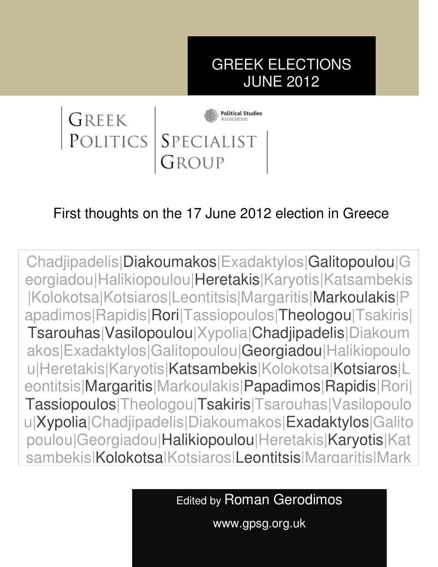# GREEK ELECTIONS JUNE 2012



# First thoughts on the 17 June 2012 election in Greece

u|Heretakis|Karyotis|Katsambekis|Kolokotsa|Kotsiaros|L Chadjipadelis|Diakoumakos|Exadaktylos|Galitopoulou|G eorgiadou|Halikiopoulou|Heretakis|Karyotis|Katsambekis |Kolokotsa|Kotsiaros|Leontitsis|Margaritis|Markoulakis|P apadimos|Rapidis|Rori|Tassiopoulos|Theologou|Tsakiris| Tsarouhas|Vasilopoulou|Xypolia|Chadjipadelis|Diakoum akos|Exadaktylos|Galitopoulou|Georgiadou|Halikiopoulo eontitsis|Margaritis|Markoulakis|Papadimos|Rapidis|Rori| Tassiopoulos|Theologou|Tsakiris|Tsarouhas|Vasilopoulo u|Xypolia|Chadjipadelis|Diakoumakos|Exadaktylos|Galito poulou|Georgiadou|Halikiopoulou|Heretakis|Karyotis|Kat sambekis|Kolokotsa|Kotsiaros|Leontitsis|Margaritis|Mark

Edited by Roman Gerodimos

www.gpsg.org.uk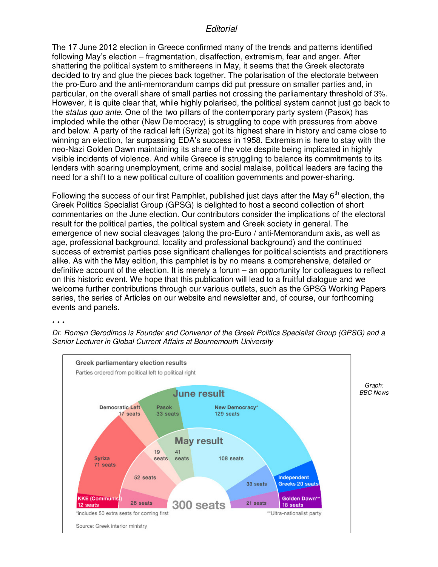#### *Editorial*

The 17 June 2012 election in Greece confirmed many of the trends and patterns identified following May's election – fragmentation, disaffection, extremism, fear and anger. After shattering the political system to smithereens in May, it seems that the Greek electorate decided to try and glue the pieces back together. The polarisation of the electorate between the pro-Euro and the anti-memorandum camps did put pressure on smaller parties and, in particular, on the overall share of small parties not crossing the parliamentary threshold of 3%. However, it is quite clear that, while highly polarised, the political system cannot just go back to the *status quo ante*. One of the two pillars of the contemporary party system (Pasok) has imploded while the other (New Democracy) is struggling to cope with pressures from above and below. A party of the radical left (Syriza) got its highest share in history and came close to winning an election, far surpassing EDA's success in 1958. Extremism is here to stay with the neo-Nazi Golden Dawn maintaining its share of the vote despite being implicated in highly visible incidents of violence. And while Greece is struggling to balance its commitments to its lenders with soaring unemployment, crime and social malaise, political leaders are facing the need for a shift to a new political culture of coalition governments and power-sharing.

Following the success of our first Pamphlet, published just days after the May  $6<sup>th</sup>$  election, the Greek Politics Specialist Group (GPSG) is delighted to host a second collection of short commentaries on the June election. Our contributors consider the implications of the electoral result for the political parties, the political system and Greek society in general. The emergence of new social cleavages (along the pro-Euro / anti-Memorandum axis, as well as age, professional background, locality and professional background) and the continued success of extremist parties pose significant challenges for political scientists and practitioners alike. As with the May edition, this pamphlet is by no means a comprehensive, detailed or definitive account of the election. It is merely a forum – an opportunity for colleagues to reflect on this historic event. We hope that this publication will lead to a fruitful dialogue and we welcome further contributions through our various outlets, such as the GPSG Working Papers series, the series of Articles on our website and newsletter and, of course, our forthcoming events and panels.

#### \* \* \*

*Dr. Roman Gerodimos is Founder and Convenor of the Greek Politics Specialist Group (GPSG) and a Senior Lecturer in Global Current Affairs at Bournemouth University* 

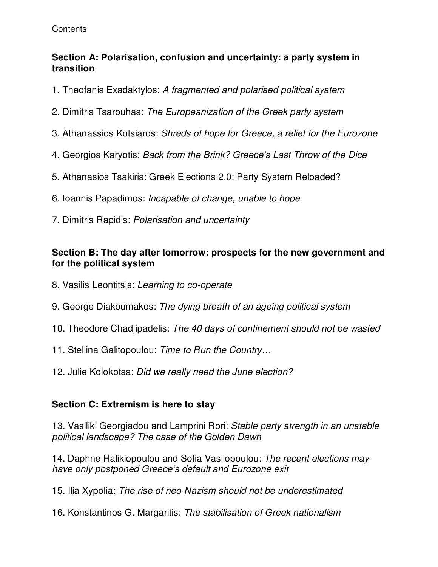#### **Contents**

#### **Section A: Polarisation, confusion and uncertainty: a party system in transition**

- 1. Theofanis Exadaktylos: *A fragmented and polarised political system*
- 2. Dimitris Tsarouhas: *The Europeanization of the Greek party system*
- 3. Athanassios Kotsiaros: *Shreds of hope for Greece, a relief for the Eurozone*
- 4. Georgios Karyotis: *Back from the Brink? Greece's Last Throw of the Dice*
- 5. Athanasios Tsakiris: Greek Elections 2.0: Party System Reloaded?
- 6. Ioannis Papadimos: *Incapable of change, unable to hope*
- 7. Dimitris Rapidis: *Polarisation and uncertainty*

#### **Section B: The day after tomorrow: prospects for the new government and for the political system**

- 8. Vasilis Leontitsis: *Learning to co-operate*
- 9. George Diakoumakos: *The dying breath of an ageing political system*
- 10. Theodore Chadjipadelis: *The 40 days of confinement should not be wasted*
- 11. Stellina Galitopoulou: *Time to Run the Country…*
- 12. Julie Kolokotsa: *Did we really need the June election?*

#### **Section C: Extremism is here to stay**

13. Vasiliki Georgiadou and Lamprini Rori: *Stable party strength in an unstable political landscape? The case of the Golden Dawn* 

14. Daphne Halikiopoulou and Sofia Vasilopoulou: *The recent elections may have only postponed Greece's default and Eurozone exit*

15. Ilia Xypolia: *The rise of neo-Nazism should not be underestimated*

16. Konstantinos G. Margaritis: *The stabilisation of Greek nationalism*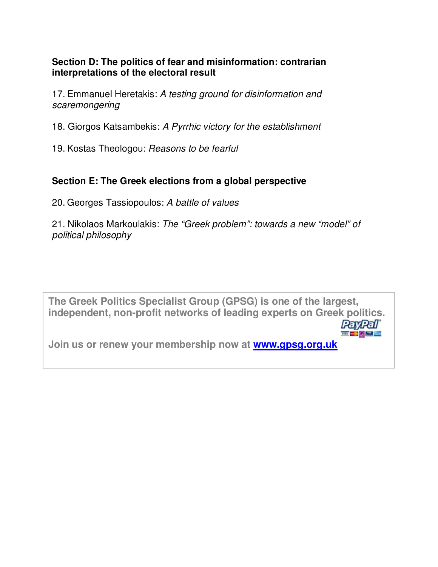#### **Section D: The politics of fear and misinformation: contrarian interpretations of the electoral result**

17. Emmanuel Heretakis: *A testing ground for disinformation and scaremongering* 

18. Giorgos Katsambekis: *A Pyrrhic victory for the establishment* 

19. Kostas Theologou: *Reasons to be fearful*

#### **Section E: The Greek elections from a global perspective**

20. Georges Tassiopoulos: *A battle of values*

21. Nikolaos Markoulakis: *The "Greek problem": towards a new "model" of political philosophy*

**The Greek Politics Specialist Group (GPSG) is one of the largest, independent, non-profit networks of leading experts on Greek politics. PayPal' WA - BO ALL AND** 

**Join us or renew your membership now at www.gpsg.org.uk**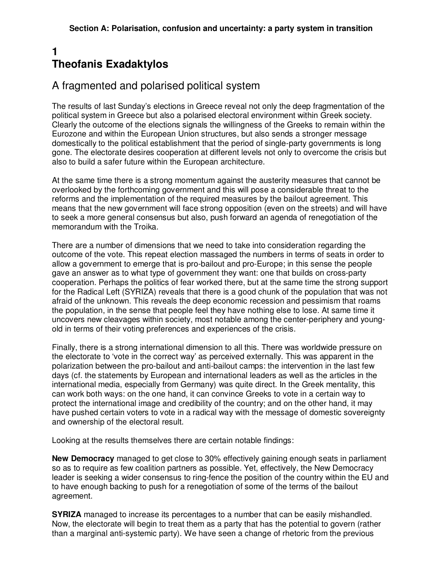#### **1 Theofanis Exadaktylos**

# A fragmented and polarised political system

The results of last Sunday's elections in Greece reveal not only the deep fragmentation of the political system in Greece but also a polarised electoral environment within Greek society. Clearly the outcome of the elections signals the willingness of the Greeks to remain within the Eurozone and within the European Union structures, but also sends a stronger message domestically to the political establishment that the period of single-party governments is long gone. The electorate desires cooperation at different levels not only to overcome the crisis but also to build a safer future within the European architecture.

At the same time there is a strong momentum against the austerity measures that cannot be overlooked by the forthcoming government and this will pose a considerable threat to the reforms and the implementation of the required measures by the bailout agreement. This means that the new government will face strong opposition (even on the streets) and will have to seek a more general consensus but also, push forward an agenda of renegotiation of the memorandum with the Troika.

There are a number of dimensions that we need to take into consideration regarding the outcome of the vote. This repeat election massaged the numbers in terms of seats in order to allow a government to emerge that is pro-bailout and pro-Europe; in this sense the people gave an answer as to what type of government they want: one that builds on cross-party cooperation. Perhaps the politics of fear worked there, but at the same time the strong support for the Radical Left (SYRIZA) reveals that there is a good chunk of the population that was not afraid of the unknown. This reveals the deep economic recession and pessimism that roams the population, in the sense that people feel they have nothing else to lose. At same time it uncovers new cleavages within society, most notable among the center-periphery and youngold in terms of their voting preferences and experiences of the crisis.

Finally, there is a strong international dimension to all this. There was worldwide pressure on the electorate to 'vote in the correct way' as perceived externally. This was apparent in the polarization between the pro-bailout and anti-bailout camps: the intervention in the last few days (cf. the statements by European and international leaders as well as the articles in the international media, especially from Germany) was quite direct. In the Greek mentality, this can work both ways: on the one hand, it can convince Greeks to vote in a certain way to protect the international image and credibility of the country; and on the other hand, it may have pushed certain voters to vote in a radical way with the message of domestic sovereignty and ownership of the electoral result.

Looking at the results themselves there are certain notable findings:

**New Democracy** managed to get close to 30% effectively gaining enough seats in parliament so as to require as few coalition partners as possible. Yet, effectively, the New Democracy leader is seeking a wider consensus to ring-fence the position of the country within the EU and to have enough backing to push for a renegotiation of some of the terms of the bailout agreement.

**SYRIZA** managed to increase its percentages to a number that can be easily mishandled. Now, the electorate will begin to treat them as a party that has the potential to govern (rather than a marginal anti-systemic party). We have seen a change of rhetoric from the previous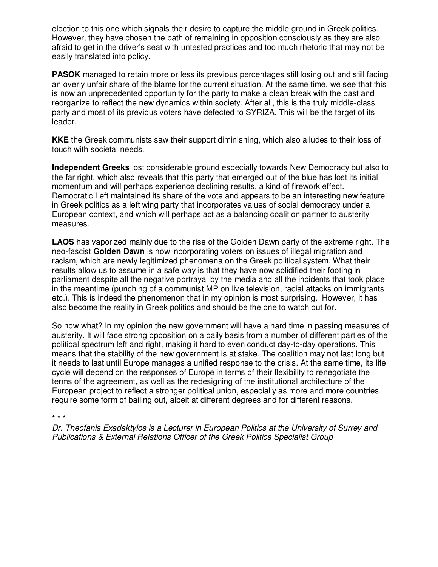election to this one which signals their desire to capture the middle ground in Greek politics. However, they have chosen the path of remaining in opposition consciously as they are also afraid to get in the driver's seat with untested practices and too much rhetoric that may not be easily translated into policy.

**PASOK** managed to retain more or less its previous percentages still losing out and still facing an overly unfair share of the blame for the current situation. At the same time, we see that this is now an unprecedented opportunity for the party to make a clean break with the past and reorganize to reflect the new dynamics within society. After all, this is the truly middle-class party and most of its previous voters have defected to SYRIZA. This will be the target of its leader.

**KKE** the Greek communists saw their support diminishing, which also alludes to their loss of touch with societal needs.

**Independent Greeks** lost considerable ground especially towards New Democracy but also to the far right, which also reveals that this party that emerged out of the blue has lost its initial momentum and will perhaps experience declining results, a kind of firework effect. Democratic Left maintained its share of the vote and appears to be an interesting new feature in Greek politics as a left wing party that incorporates values of social democracy under a European context, and which will perhaps act as a balancing coalition partner to austerity measures.

**LAOS** has vaporized mainly due to the rise of the Golden Dawn party of the extreme right. The neo-fascist **Golden Dawn** is now incorporating voters on issues of illegal migration and racism, which are newly legitimized phenomena on the Greek political system. What their results allow us to assume in a safe way is that they have now solidified their footing in parliament despite all the negative portrayal by the media and all the incidents that took place in the meantime (punching of a communist MP on live television, racial attacks on immigrants etc.). This is indeed the phenomenon that in my opinion is most surprising. However, it has also become the reality in Greek politics and should be the one to watch out for.

So now what? In my opinion the new government will have a hard time in passing measures of austerity. It will face strong opposition on a daily basis from a number of different parties of the political spectrum left and right, making it hard to even conduct day-to-day operations. This means that the stability of the new government is at stake. The coalition may not last long but it needs to last until Europe manages a unified response to the crisis. At the same time, its life cycle will depend on the responses of Europe in terms of their flexibility to renegotiate the terms of the agreement, as well as the redesigning of the institutional architecture of the European project to reflect a stronger political union, especially as more and more countries require some form of bailing out, albeit at different degrees and for different reasons.

\* \* \*

*Dr. Theofanis Exadaktylos is a Lecturer in European Politics at the University of Surrey and Publications & External Relations Officer of the Greek Politics Specialist Group*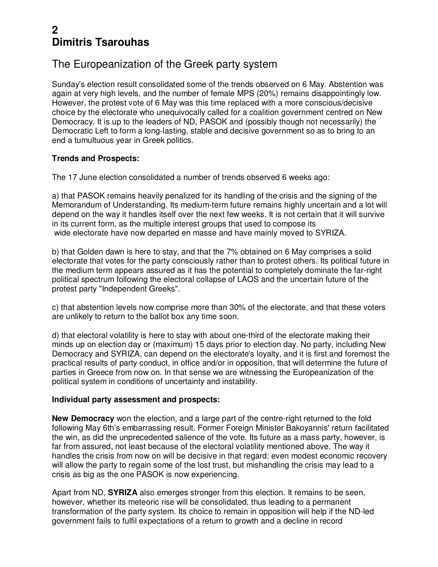# **2 Dimitris Tsarouhas**

# The Europeanization of the Greek party system

Sunday's election result consolidated some of the trends observed on 6 May. Abstention was again at very high levels, and the number of female MPS (20%) remains disappointingly low. However, the protest vote of 6 May was this time replaced with a more conscious/decisive choice by the electorate who unequivocally called for a coalition government centred on New Democracy. It is up to the leaders of ND, PASOK and (possibly though not necessarily) the Democratic Left to form a long-lasting, stable and decisive government so as to bring to an end a tumultuous year in Greek politics.

#### **Trends and Prospects:**

The 17 June election consolidated a number of trends observed 6 weeks ago:

a) that PASOK remains heavily penalized for its handling of the crisis and the signing of the Memorandum of Understanding. Its medium-term future remains highly uncertain and a lot will depend on the way it handles itself over the next few weeks. It is not certain that it will survive in its current form, as the multiple interest groups that used to compose its wide electorate have now departed en masse and have mainly moved to SYRIZA.

b) that Golden dawn is here to stay, and that the 7% obtained on 6 May comprises a solid electorate that votes for the party consciously rather than to protest others. Its political future in the medium term appears assured as it has the potential to completely dominate the far-right political spectrum following the electoral collapse of LAOS and the uncertain future of the protest party "Independent Greeks".

c) that abstention levels now comprise more than 30% of the electorate, and that these voters are unlikely to return to the ballot box any time soon.

d) that electoral volatility is here to stay with about one-third of the electorate making their minds up on election day or (maximum) 15 days prior to election day. No party, including New Democracy and SYRIZA, can depend on the electorate's loyalty, and it is first and foremost the practical results of party conduct, in office and/or in opposition, that will determine the future of parties in Greece from now on. In that sense we are witnessing the Europeanization of the political system in conditions of uncertainty and instability.

#### **Individual party assessment and prospects:**

**New Democracy** won the election, and a large part of the centre-right returned to the fold following May 6th's embarrassing result. Former Foreign Minister Bakoyannis' return facilitated the win, as did the unprecedented salience of the vote. Its future as a mass party, however, is far from assured, not least because of the electoral volatility mentioned above. The way it handles the crisis from now on will be decisive in that regard: even modest economic recovery will allow the party to regain some of the lost trust, but mishandling the crisis may lead to a crisis as big as the one PASOK is now experiencing.

Apart from ND, **SYRIZA** also emerges stronger from this election. It remains to be seen, however, whether its meteoric rise will be consolidated, thus leading to a permanent transformation of the party system. Its choice to remain in opposition will help if the ND-led government fails to fulfil expectations of a return to growth and a decline in record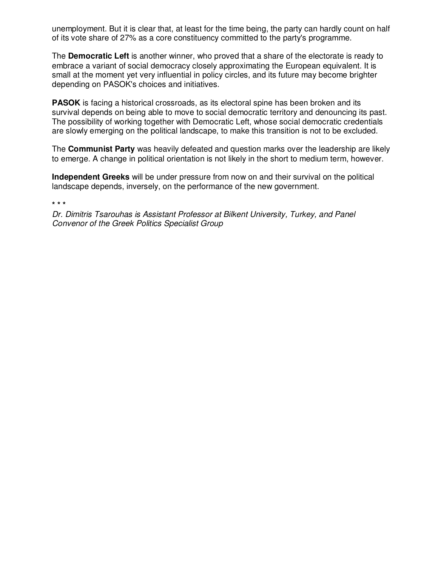unemployment. But it is clear that, at least for the time being, the party can hardly count on half of its vote share of 27% as a core constituency committed to the party's programme.

The **Democratic Left** is another winner, who proved that a share of the electorate is ready to embrace a variant of social democracy closely approximating the European equivalent. It is small at the moment yet very influential in policy circles, and its future may become brighter depending on PASOK's choices and initiatives.

**PASOK** is facing a historical crossroads, as its electoral spine has been broken and its survival depends on being able to move to social democratic territory and denouncing its past. The possibility of working together with Democratic Left, whose social democratic credentials are slowly emerging on the political landscape, to make this transition is not to be excluded.

The **Communist Party** was heavily defeated and question marks over the leadership are likely to emerge. A change in political orientation is not likely in the short to medium term, however.

**Independent Greeks** will be under pressure from now on and their survival on the political landscape depends, inversely, on the performance of the new government.

**\* \* \*** 

*Dr. Dimitris Tsarouhas is Assistant Professor at Bilkent University, Turkey, and Panel Convenor of the Greek Politics Specialist Group*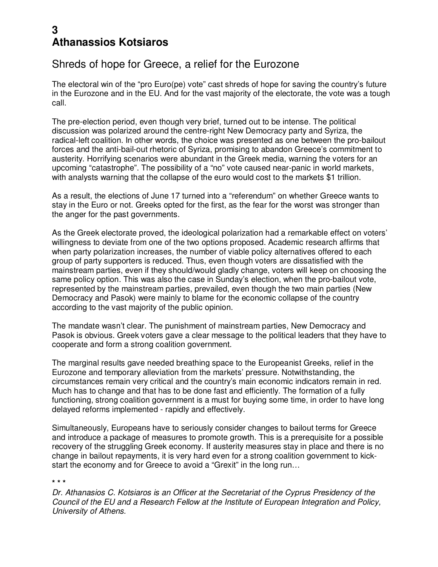#### **3 Athanassios Kotsiaros**

#### Shreds of hope for Greece, a relief for the Eurozone

The electoral win of the "pro Euro(pe) vote" cast shreds of hope for saving the country's future in the Eurozone and in the EU. And for the vast majority of the electorate, the vote was a tough call.

The pre-election period, even though very brief, turned out to be intense. The political discussion was polarized around the centre-right New Democracy party and Syriza, the radical-left coalition. In other words, the choice was presented as one between the pro-bailout forces and the anti-bail-out rhetoric of Syriza, promising to abandon Greece's commitment to austerity. Horrifying scenarios were abundant in the Greek media, warning the voters for an upcoming "catastrophe". The possibility of a "no" vote caused near-panic in world markets, with analysts warning that the collapse of the euro would cost to the markets \$1 trillion.

As a result, the elections of June 17 turned into a "referendum" on whether Greece wants to stay in the Euro or not. Greeks opted for the first, as the fear for the worst was stronger than the anger for the past governments.

As the Greek electorate proved, the ideological polarization had a remarkable effect on voters' willingness to deviate from one of the two options proposed. Academic research affirms that when party polarization increases, the number of viable policy alternatives offered to each group of party supporters is reduced. Thus, even though voters are dissatisfied with the mainstream parties, even if they should/would gladly change, voters will keep on choosing the same policy option. This was also the case in Sunday's election, when the pro-bailout vote, represented by the mainstream parties, prevailed, even though the two main parties (New Democracy and Pasok) were mainly to blame for the economic collapse of the country according to the vast majority of the public opinion.

The mandate wasn't clear. The punishment of mainstream parties, New Democracy and Pasok is obvious. Greek voters gave a clear message to the political leaders that they have to cooperate and form a strong coalition government.

The marginal results gave needed breathing space to the Europeanist Greeks, relief in the Eurozone and temporary alleviation from the markets' pressure. Notwithstanding, the circumstances remain very critical and the country's main economic indicators remain in red. Much has to change and that has to be done fast and efficiently. The formation of a fully functioning, strong coalition government is a must for buying some time, in order to have long delayed reforms implemented - rapidly and effectively.

Simultaneously, Europeans have to seriously consider changes to bailout terms for Greece and introduce a package of measures to promote growth. This is a prerequisite for a possible recovery of the struggling Greek economy. If austerity measures stay in place and there is no change in bailout repayments, it is very hard even for a strong coalition government to kickstart the economy and for Greece to avoid a "Grexit" in the long run…

**\* \* \*** 

*Dr. Athanasios C. Kotsiaros is an Officer at the Secretariat of the Cyprus Presidency of the Council of the EU and a Research Fellow at the Institute of European Integration and Policy, University of Athens.*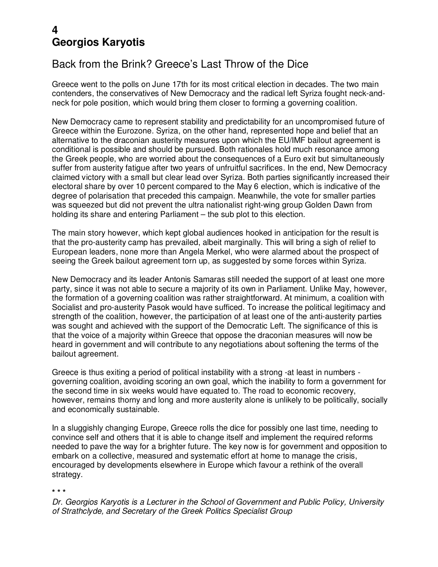# **4 Georgios Karyotis**

# Back from the Brink? Greece's Last Throw of the Dice

Greece went to the polls on June 17th for its most critical election in decades. The two main contenders, the conservatives of New Democracy and the radical left Syriza fought neck-andneck for pole position, which would bring them closer to forming a governing coalition.

New Democracy came to represent stability and predictability for an uncompromised future of Greece within the Eurozone. Syriza, on the other hand, represented hope and belief that an alternative to the draconian austerity measures upon which the EU/IMF bailout agreement is conditional is possible and should be pursued. Both rationales hold much resonance among the Greek people, who are worried about the consequences of a Euro exit but simultaneously suffer from austerity fatigue after two years of unfruitful sacrifices. In the end, New Democracy claimed victory with a small but clear lead over Syriza. Both parties significantly increased their electoral share by over 10 percent compared to the May 6 election, which is indicative of the degree of polarisation that preceded this campaign. Meanwhile, the vote for smaller parties was squeezed but did not prevent the ultra nationalist right-wing group Golden Dawn from holding its share and entering Parliament – the sub plot to this election.

The main story however, which kept global audiences hooked in anticipation for the result is that the pro-austerity camp has prevailed, albeit marginally. This will bring a sigh of relief to European leaders, none more than Angela Merkel, who were alarmed about the prospect of seeing the Greek bailout agreement torn up, as suggested by some forces within Syriza.

New Democracy and its leader Antonis Samaras still needed the support of at least one more party, since it was not able to secure a majority of its own in Parliament. Unlike May, however, the formation of a governing coalition was rather straightforward. At minimum, a coalition with Socialist and pro-austerity Pasok would have sufficed. To increase the political legitimacy and strength of the coalition, however, the participation of at least one of the anti-austerity parties was sought and achieved with the support of the Democratic Left. The significance of this is that the voice of a majority within Greece that oppose the draconian measures will now be heard in government and will contribute to any negotiations about softening the terms of the bailout agreement.

Greece is thus exiting a period of political instability with a strong -at least in numbers governing coalition, avoiding scoring an own goal, which the inability to form a government for the second time in six weeks would have equated to. The road to economic recovery, however, remains thorny and long and more austerity alone is unlikely to be politically, socially and economically sustainable.

In a sluggishly changing Europe, Greece rolls the dice for possibly one last time, needing to convince self and others that it is able to change itself and implement the required reforms needed to pave the way for a brighter future. The key now is for government and opposition to embark on a collective, measured and systematic effort at home to manage the crisis, encouraged by developments elsewhere in Europe which favour a rethink of the overall strategy.

**\* \* \*** 

*Dr. Georgios Karyotis is a Lecturer in the School of Government and Public Policy, University of Strathclyde, and Secretary of the Greek Politics Specialist Group*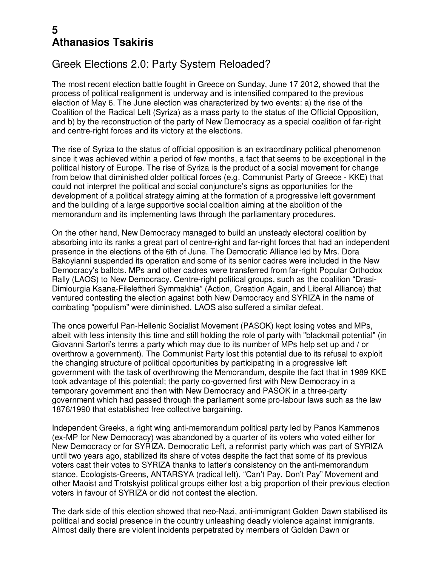### **5 Athanasios Tsakiris**

# Greek Elections 2.0: Party System Reloaded?

The most recent election battle fought in Greece on Sunday, June 17 2012, showed that the process of political realignment is underway and is intensified compared to the previous election of May 6. The June election was characterized by two events: a) the rise of the Coalition of the Radical Left (Syriza) as a mass party to the status of the Official Opposition, and b) by the reconstruction of the party of New Democracy as a special coalition of far-right and centre-right forces and its victory at the elections.

The rise of Syriza to the status of official opposition is an extraordinary political phenomenon since it was achieved within a period of few months, a fact that seems to be exceptional in the political history of Europe. The rise of Syriza is the product of a social movement for change from below that diminished older political forces (e.g. Communist Party of Greece - KKE) that could not interpret the political and social conjuncture's signs as opportunities for the development of a political strategy aiming at the formation of a progressive left government and the building of a large supportive social coalition aiming at the abolition of the memorandum and its implementing laws through the parliamentary procedures.

On the other hand, New Democracy managed to build an unsteady electoral coalition by absorbing into its ranks a great part of centre-right and far-right forces that had an independent presence in the elections of the 6th of June. The Democratic Alliance led by Mrs. Dora Bakoyianni suspended its operation and some of its senior cadres were included in the New Democracy's ballots. MPs and other cadres were transferred from far-right Popular Orthodox Rally (LAOS) to New Democracy. Centre-right political groups, such as the coalition "Drasi-Dimiourgia Ksana-Fileleftheri Symmakhia" (Action, Creation Again, and Liberal Alliance) that ventured contesting the election against both New Democracy and SYRIZA in the name of combating "populism" were diminished. LAOS also suffered a similar defeat.

The once powerful Pan-Hellenic Socialist Movement (PASOK) kept losing votes and MPs, albeit with less intensity this time and still holding the role of party with "blackmail potential" (in Giovanni Sartori's terms a party which may due to its number of MPs help set up and / or overthrow a government). The Communist Party lost this potential due to its refusal to exploit the changing structure of political opportunities by participating in a progressive left government with the task of overthrowing the Memorandum, despite the fact that in 1989 KKE took advantage of this potential; the party co-governed first with New Democracy in a temporary government and then with New Democracy and PASOK in a three-party government which had passed through the parliament some pro-labour laws such as the law 1876/1990 that established free collective bargaining.

Independent Greeks, a right wing anti-memorandum political party led by Panos Kammenos (ex-MP for New Democracy) was abandoned by a quarter of its voters who voted either for New Democracy or for SYRIZA. Democratic Left, a reformist party which was part of SYRIZA until two years ago, stabilized its share of votes despite the fact that some of its previous voters cast their votes to SYRIZA thanks to latter's consistency on the anti-memorandum stance. Ecologists-Greens, ANTARSYA (radical left), "Can't Pay, Don't Pay" Movement and other Maoist and Trotskyist political groups either lost a big proportion of their previous election voters in favour of SYRIZA or did not contest the election.

The dark side of this election showed that neo-Nazi, anti-immigrant Golden Dawn stabilised its political and social presence in the country unleashing deadly violence against immigrants. Almost daily there are violent incidents perpetrated by members of Golden Dawn or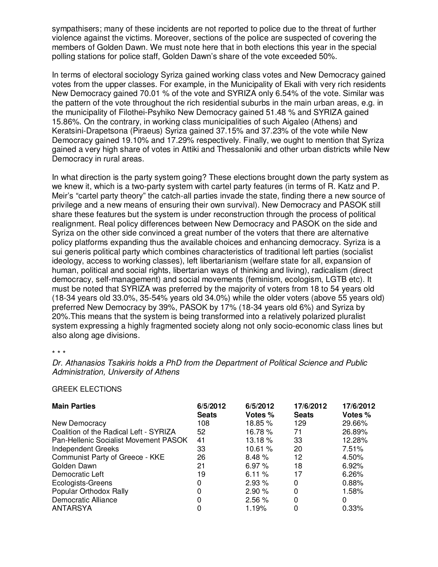sympathisers; many of these incidents are not reported to police due to the threat of further violence against the victims. Moreover, sections of the police are suspected of covering the members of Golden Dawn. We must note here that in both elections this year in the special polling stations for police staff, Golden Dawn's share of the vote exceeded 50%.

In terms of electoral sociology Syriza gained working class votes and New Democracy gained votes from the upper classes. For example, in the Municipality of Ekali with very rich residents New Democracy gained 70.01 % of the vote and SYRIZA only 6.54% of the vote. Similar was the pattern of the vote throughout the rich residential suburbs in the main urban areas, e.g. in the municipality of Filothei-Psyhiko New Democracy gained 51.48 % and SYRIZA gained 15.86%. On the contrary, in working class municipalities of such Aigaleo (Athens) and Keratsini-Drapetsona (Piraeus) Syriza gained 37.15% and 37.23% of the vote while New Democracy gained 19.10% and 17.29% respectively. Finally, we ought to mention that Syriza gained a very high share of votes in Attiki and Thessaloniki and other urban districts while New Democracy in rural areas.

In what direction is the party system going? These elections brought down the party system as we knew it, which is a two-party system with cartel party features (in terms of R. Katz and P. Meir's "cartel party theory" the catch-all parties invade the state, finding there a new source of privilege and a new means of ensuring their own survival). New Democracy and PASOK still share these features but the system is under reconstruction through the process of political realignment. Real policy differences between New Democracy and PASOK on the side and Syriza on the other side convinced a great number of the voters that there are alternative policy platforms expanding thus the available choices and enhancing democracy. Syriza is a sui generis political party which combines characteristics of traditional left parties (socialist ideology, access to working classes), left libertarianism (welfare state for all, expansion of human, political and social rights, libertarian ways of thinking and living), radicalism (direct democracy, self-management) and social movements (feminism, ecologism, LGTB etc). It must be noted that SYRIZA was preferred by the majority of voters from 18 to 54 years old (18-34 years old 33.0%, 35-54% years old 34.0%) while the older voters (above 55 years old) preferred New Democracy by 39%, PASOK by 17% (18-34 years old 6%) and Syriza by 20%.This means that the system is being transformed into a relatively polarized pluralist system expressing a highly fragmented society along not only socio-economic class lines but also along age divisions.

\* \* \*

*Dr. Athanasios Tsakiris holds a PhD from the Department of Political Science and Public Administration, University of Athens* 

#### GREEK ELECTIONS

| <b>Main Parties</b>                          | 6/5/2012     | 6/5/2012 | 17/6/2012    | 17/6/2012 |
|----------------------------------------------|--------------|----------|--------------|-----------|
|                                              | <b>Seats</b> | Votes %  | <b>Seats</b> | Votes %   |
| New Democracy                                | 108          | 18.85 %  | 129          | 29.66%    |
| Coalition of the Radical Left - SYRIZA       | 52           | 16.78 %  | 71           | 26.89%    |
| <b>Pan-Hellenic Socialist Movement PASOK</b> | 41           | 13.18 %  | 33           | 12.28%    |
| <b>Independent Greeks</b>                    | 33           | 10.61%   | 20           | 7.51%     |
| Communist Party of Greece - KKE              | 26           | 8.48%    | 12           | 4.50%     |
| Golden Dawn                                  | 21           | 6.97%    | 18           | 6.92%     |
| Democratic Left                              | 19           | 6.11%    | 17           | 6.26%     |
| Ecologists-Greens                            | 0            | 2.93 %   | 0            | 0.88%     |
| Popular Orthodox Rally                       | 0            | 2.90%    | 0            | 1.58%     |
| Democratic Alliance                          | 0            | 2.56%    | 0            | 0         |
| ANTARSYA                                     |              | 1.19%    | 0            | 0.33%     |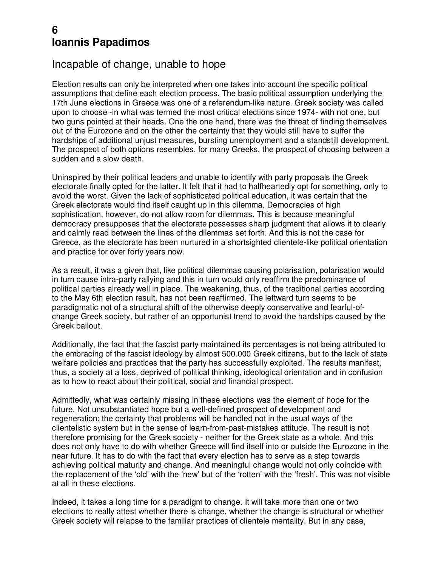### **6 Ioannis Papadimos**

#### Incapable of change, unable to hope

Election results can only be interpreted when one takes into account the specific political assumptions that define each election process. The basic political assumption underlying the 17th June elections in Greece was one of a referendum-like nature. Greek society was called upon to choose -in what was termed the most critical elections since 1974- with not one, but two guns pointed at their heads. One the one hand, there was the threat of finding themselves out of the Eurozone and on the other the certainty that they would still have to suffer the hardships of additional unjust measures, bursting unemployment and a standstill development. The prospect of both options resembles, for many Greeks, the prospect of choosing between a sudden and a slow death.

Uninspired by their political leaders and unable to identify with party proposals the Greek electorate finally opted for the latter. It felt that it had to halfheartedly opt for something, only to avoid the worst. Given the lack of sophisticated political education, it was certain that the Greek electorate would find itself caught up in this dilemma. Democracies of high sophistication, however, do not allow room for dilemmas. This is because meaningful democracy presupposes that the electorate possesses sharp judgment that allows it to clearly and calmly read between the lines of the dilemmas set forth. And this is not the case for Greece, as the electorate has been nurtured in a shortsighted clientele-like political orientation and practice for over forty years now.

As a result, it was a given that, like political dilemmas causing polarisation, polarisation would in turn cause intra-party rallying and this in turn would only reaffirm the predominance of political parties already well in place. The weakening, thus, of the traditional parties according to the May 6th election result, has not been reaffirmed. The leftward turn seems to be paradigmatic not of a structural shift of the otherwise deeply conservative and fearful-ofchange Greek society, but rather of an opportunist trend to avoid the hardships caused by the Greek bailout.

Additionally, the fact that the fascist party maintained its percentages is not being attributed to the embracing of the fascist ideology by almost 500.000 Greek citizens, but to the lack of state welfare policies and practices that the party has successfully exploited. The results manifest, thus, a society at a loss, deprived of political thinking, ideological orientation and in confusion as to how to react about their political, social and financial prospect.

Admittedly, what was certainly missing in these elections was the element of hope for the future. Not unsubstantiated hope but a well-defined prospect of development and regeneration; the certainty that problems will be handled not in the usual ways of the clientelistic system but in the sense of learn-from-past-mistakes attitude. The result is not therefore promising for the Greek society - neither for the Greek state as a whole. And this does not only have to do with whether Greece will find itself into or outside the Eurozone in the near future. It has to do with the fact that every election has to serve as a step towards achieving political maturity and change. And meaningful change would not only coincide with the replacement of the 'old' with the 'new' but of the 'rotten' with the 'fresh'. This was not visible at all in these elections.

Indeed, it takes a long time for a paradigm to change. It will take more than one or two elections to really attest whether there is change, whether the change is structural or whether Greek society will relapse to the familiar practices of clientele mentality. But in any case,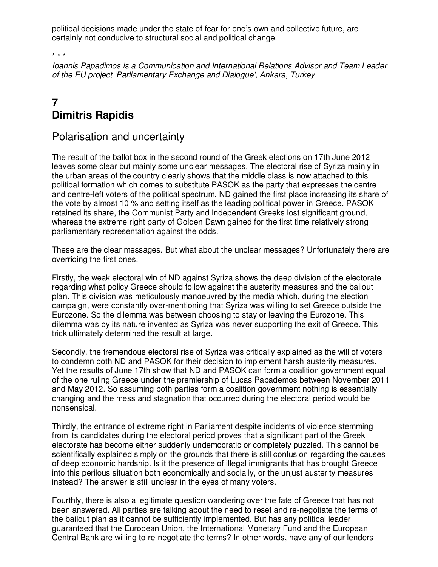political decisions made under the state of fear for one's own and collective future, are certainly not conducive to structural social and political change.

\* \* \*

*Ioannis Papadimos is a Communication and International Relations Advisor and Team Leader of the EU project 'Parliamentary Exchange and Dialogue', Ankara, Turkey*

# **7 Dimitris Rapidis**

#### Polarisation and uncertainty

The result of the ballot box in the second round of the Greek elections on 17th June 2012 leaves some clear but mainly some unclear messages. The electoral rise of Syriza mainly in the urban areas of the country clearly shows that the middle class is now attached to this political formation which comes to substitute PASOK as the party that expresses the centre and centre-left voters of the political spectrum. ND gained the first place increasing its share of the vote by almost 10 % and setting itself as the leading political power in Greece. PASOK retained its share, the Communist Party and Independent Greeks lost significant ground, whereas the extreme right party of Golden Dawn gained for the first time relatively strong parliamentary representation against the odds.

These are the clear messages. But what about the unclear messages? Unfortunately there are overriding the first ones.

Firstly, the weak electoral win of ND against Syriza shows the deep division of the electorate regarding what policy Greece should follow against the austerity measures and the bailout plan. This division was meticulously manoeuvred by the media which, during the election campaign, were constantly over-mentioning that Syriza was willing to set Greece outside the Eurozone. So the dilemma was between choosing to stay or leaving the Eurozone. This dilemma was by its nature invented as Syriza was never supporting the exit of Greece. This trick ultimately determined the result at large.

Secondly, the tremendous electoral rise of Syriza was critically explained as the will of voters to condemn both ND and PASOK for their decision to implement harsh austerity measures. Yet the results of June 17th show that ND and PASOK can form a coalition government equal of the one ruling Greece under the premiership of Lucas Papademos between November 2011 and May 2012. So assuming both parties form a coalition government nothing is essentially changing and the mess and stagnation that occurred during the electoral period would be nonsensical.

Thirdly, the entrance of extreme right in Parliament despite incidents of violence stemming from its candidates during the electoral period proves that a significant part of the Greek electorate has become either suddenly undemocratic or completely puzzled. This cannot be scientifically explained simply on the grounds that there is still confusion regarding the causes of deep economic hardship. Is it the presence of illegal immigrants that has brought Greece into this perilous situation both economically and socially, or the unjust austerity measures instead? The answer is still unclear in the eyes of many voters.

Fourthly, there is also a legitimate question wandering over the fate of Greece that has not been answered. All parties are talking about the need to reset and re-negotiate the terms of the bailout plan as it cannot be sufficiently implemented. But has any political leader guaranteed that the European Union, the International Monetary Fund and the European Central Bank are willing to re-negotiate the terms? In other words, have any of our lenders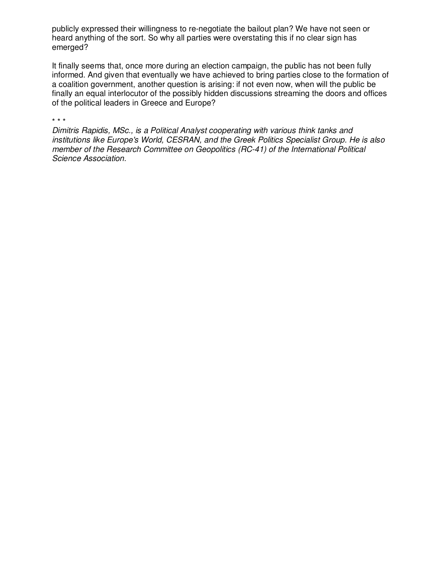publicly expressed their willingness to re-negotiate the bailout plan? We have not seen or heard anything of the sort. So why all parties were overstating this if no clear sign has emerged?

It finally seems that, once more during an election campaign, the public has not been fully informed. And given that eventually we have achieved to bring parties close to the formation of a coalition government, another question is arising: if not even now, when will the public be finally an equal interlocutor of the possibly hidden discussions streaming the doors and offices of the political leaders in Greece and Europe?

\* \* \*

*Dimitris Rapidis, MSc., is a Political Analyst cooperating with various think tanks and institutions like Europe's World, CESRAN, and the Greek Politics Specialist Group. He is also member of the Research Committee on Geopolitics (RC-41) of the International Political Science Association.*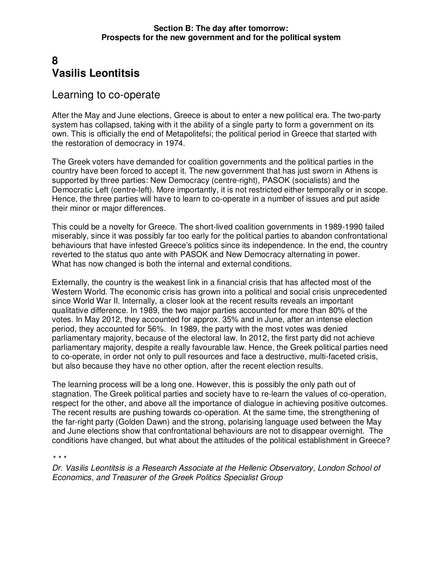# **8 Vasilis Leontitsis**

#### Learning to co-operate

After the May and June elections, Greece is about to enter a new political era. The two-party system has collapsed, taking with it the ability of a single party to form a government on its own. This is officially the end of Metapolitefsi; the political period in Greece that started with the restoration of democracy in 1974.

The Greek voters have demanded for coalition governments and the political parties in the country have been forced to accept it. The new government that has just sworn in Athens is supported by three parties: New Democracy (centre-right), PASOK (socialists) and the Democratic Left (centre-left). More importantly, it is not restricted either temporally or in scope. Hence, the three parties will have to learn to co-operate in a number of issues and put aside their minor or major differences.

This could be a novelty for Greece. The short-lived coalition governments in 1989-1990 failed miserably, since it was possibly far too early for the political parties to abandon confrontational behaviours that have infested Greece's politics since its independence. In the end, the country reverted to the status quo ante with PASOK and New Democracy alternating in power. What has now changed is both the internal and external conditions.

Externally, the country is the weakest link in a financial crisis that has affected most of the Western World. The economic crisis has grown into a political and social crisis unprecedented since World War II. Internally, a closer look at the recent results reveals an important qualitative difference. In 1989, the two major parties accounted for more than 80% of the votes. In May 2012, they accounted for approx. 35% and in June, after an intense election period, they accounted for 56%. In 1989, the party with the most votes was denied parliamentary majority, because of the electoral law. In 2012, the first party did not achieve parliamentary majority, despite a really favourable law. Hence, the Greek political parties need to co-operate, in order not only to pull resources and face a destructive, multi-faceted crisis, but also because they have no other option, after the recent election results.

The learning process will be a long one. However, this is possibly the only path out of stagnation. The Greek political parties and society have to re-learn the values of co-operation, respect for the other, and above all the importance of dialogue in achieving positive outcomes. The recent results are pushing towards co-operation. At the same time, the strengthening of the far-right party (Golden Dawn) and the strong, polarising language used between the May and June elections show that confrontational behaviours are not to disappear overnight. The conditions have changed, but what about the attitudes of the political establishment in Greece?

*\* \* \** 

*Dr. Vasilis Leontitsis is a Research Associate at the Hellenic Observatory, London School of Economics, and Treasurer of the Greek Politics Specialist Group*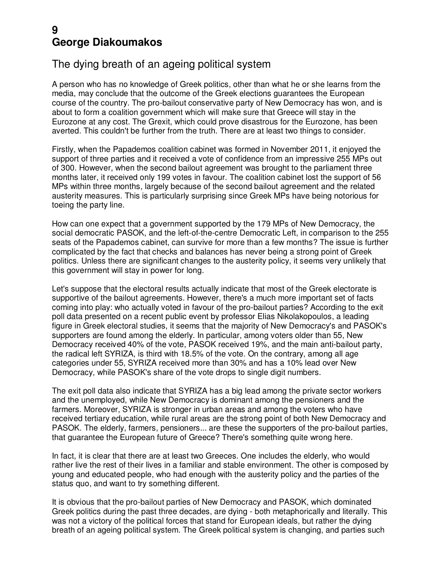### **9 George Diakoumakos**

### The dying breath of an ageing political system

A person who has no knowledge of Greek politics, other than what he or she learns from the media, may conclude that the outcome of the Greek elections guarantees the European course of the country. The pro-bailout conservative party of New Democracy has won, and is about to form a coalition government which will make sure that Greece will stay in the Eurozone at any cost. The Grexit, which could prove disastrous for the Eurozone, has been averted. This couldn't be further from the truth. There are at least two things to consider.

Firstly, when the Papademos coalition cabinet was formed in November 2011, it enjoyed the support of three parties and it received a vote of confidence from an impressive 255 MPs out of 300. However, when the second bailout agreement was brought to the parliament three months later, it received only 199 votes in favour. The coalition cabinet lost the support of 56 MPs within three months, largely because of the second bailout agreement and the related austerity measures. This is particularly surprising since Greek MPs have being notorious for toeing the party line.

How can one expect that a government supported by the 179 MPs of New Democracy, the social democratic PASOK, and the left-of-the-centre Democratic Left, in comparison to the 255 seats of the Papademos cabinet, can survive for more than a few months? The issue is further complicated by the fact that checks and balances has never being a strong point of Greek politics. Unless there are significant changes to the austerity policy, it seems very unlikely that this government will stay in power for long.

Let's suppose that the electoral results actually indicate that most of the Greek electorate is supportive of the bailout agreements. However, there's a much more important set of facts coming into play: who actually voted in favour of the pro-bailout parties? According to the exit poll data presented on a recent public event by professor Elias Nikolakopoulos, a leading figure in Greek electoral studies, it seems that the majority of New Democracy's and PASOK's supporters are found among the elderly. In particular, among voters older than 55, New Democracy received 40% of the vote, PASOK received 19%, and the main anti-bailout party, the radical left SYRIZA, is third with 18.5% of the vote. On the contrary, among all age categories under 55, SYRIZA received more than 30% and has a 10% lead over New Democracy, while PASOK's share of the vote drops to single digit numbers.

The exit poll data also indicate that SYRIZA has a big lead among the private sector workers and the unemployed, while New Democracy is dominant among the pensioners and the farmers. Moreover, SYRIZA is stronger in urban areas and among the voters who have received tertiary education, while rural areas are the strong point of both New Democracy and PASOK. The elderly, farmers, pensioners... are these the supporters of the pro-bailout parties, that guarantee the European future of Greece? There's something quite wrong here.

In fact, it is clear that there are at least two Greeces. One includes the elderly, who would rather live the rest of their lives in a familiar and stable environment. The other is composed by young and educated people, who had enough with the austerity policy and the parties of the status quo, and want to try something different.

It is obvious that the pro-bailout parties of New Democracy and PASOK, which dominated Greek politics during the past three decades, are dying - both metaphorically and literally. This was not a victory of the political forces that stand for European ideals, but rather the dying breath of an ageing political system. The Greek political system is changing, and parties such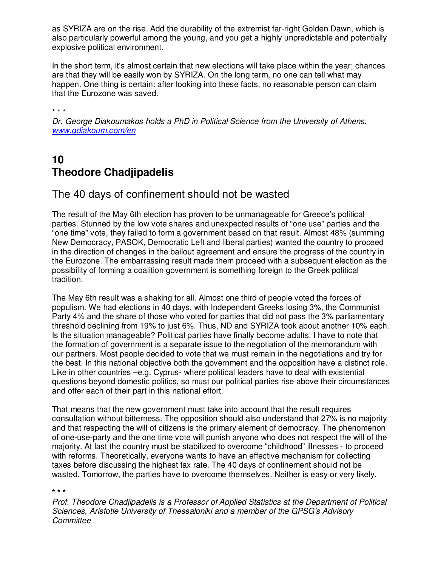as SYRIZA are on the rise. Add the durability of the extremist far-right Golden Dawn, which is also particularly powerful among the young, and you get a highly unpredictable and potentially explosive political environment.

In the short term, it's almost certain that new elections will take place within the year; chances are that they will be easily won by SYRIZA. On the long term, no one can tell what may happen. One thing is certain: after looking into these facts, no reasonable person can claim that the Eurozone was saved.

\* \* \*

*Dr. George Diakoumakos holds a PhD in Political Science from the University of Athens. www.gdiakoum.com/en* 

# **10 Theodore Chadjipadelis**

#### The 40 days of confinement should not be wasted

The result of the May 6th election has proven to be unmanageable for Greece's political parties. Stunned by the low vote shares and unexpected results of "one use" parties and the "one time" vote, they failed to form a government based on that result. Almost 48% (summing New Democracy, PASOK, Democratic Left and liberal parties) wanted the country to proceed in the direction of changes in the bailout agreement and ensure the progress of the country in the Eurozone. The embarrassing result made them proceed with a subsequent election as the possibility of forming a coalition government is something foreign to the Greek political tradition.

The May 6th result was a shaking for all. Almost one third of people voted the forces of populism. We had elections in 40 days, with Independent Greeks losing 3%, the Communist Party 4% and the share of those who voted for parties that did not pass the 3% parliamentary threshold declining from 19% to just 6%. Thus, ND and SYRIZA took about another 10% each. Is the situation manageable? Political parties have finally become adults. I have to note that the formation of government is a separate issue to the negotiation of the memorandum with our partners. Most people decided to vote that we must remain in the negotiations and try for the best. In this national objective both the government and the opposition have a distinct role. Like in other countries –e.g. Cyprus- where political leaders have to deal with existential questions beyond domestic politics, so must our political parties rise above their circumstances and offer each of their part in this national effort.

That means that the new government must take into account that the result requires consultation without bitterness. The opposition should also understand that 27% is no majority and that respecting the will of citizens is the primary element of democracy. The phenomenon of one-use-party and the one time vote will punish anyone who does not respect the will of the majority. At last the country must be stabilized to overcome "childhood" illnesses - to proceed with reforms. Theoretically, everyone wants to have an effective mechanism for collecting taxes before discussing the highest tax rate. The 40 days of confinement should not be wasted. Tomorrow, the parties have to overcome themselves. Neither is easy or very likely.

#### **\* \* \***

*Prof. Theodore Chadjipadelis is a Professor of Applied Statistics at the Department of Political Sciences, Aristotle University of Thessaloniki and a member of the GPSG's Advisory Committee*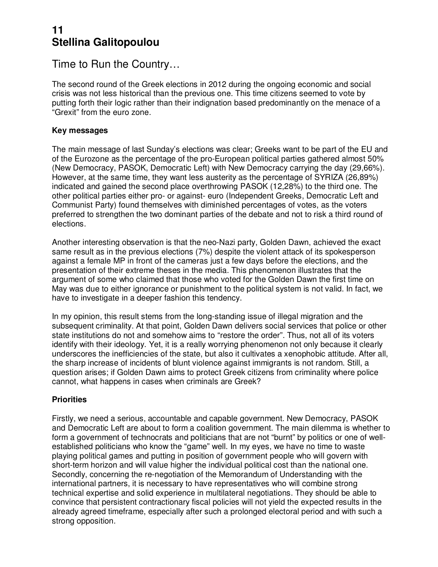### **11 Stellina Galitopoulou**

Time to Run the Country…

The second round of the Greek elections in 2012 during the ongoing economic and social crisis was not less historical than the previous one. This time citizens seemed to vote by putting forth their logic rather than their indignation based predominantly on the menace of a "Grexit" from the euro zone.

#### **Key messages**

The main message of last Sunday's elections was clear; Greeks want to be part of the EU and of the Eurozone as the percentage of the pro-European political parties gathered almost 50% (New Democracy, PASOK, Democratic Left) with New Democracy carrying the day (29,66%). However, at the same time, they want less austerity as the percentage of SYRIZA (26,89%) indicated and gained the second place overthrowing PASOK (12,28%) to the third one. The other political parties either pro- or against- euro (Independent Greeks, Democratic Left and Communist Party) found themselves with diminished percentages of votes, as the voters preferred to strengthen the two dominant parties of the debate and not to risk a third round of elections.

Another interesting observation is that the neo-Nazi party, Golden Dawn, achieved the exact same result as in the previous elections (7%) despite the violent attack of its spokesperson against a female MP in front of the cameras just a few days before the elections, and the presentation of their extreme theses in the media. This phenomenon illustrates that the argument of some who claimed that those who voted for the Golden Dawn the first time on May was due to either ignorance or punishment to the political system is not valid. In fact, we have to investigate in a deeper fashion this tendency.

In my opinion, this result stems from the long-standing issue of illegal migration and the subsequent criminality. At that point, Golden Dawn delivers social services that police or other state institutions do not and somehow aims to "restore the order". Thus, not all of its voters identify with their ideology. Yet, it is a really worrying phenomenon not only because it clearly underscores the inefficiencies of the state, but also it cultivates a xenophobic attitude. After all, the sharp increase of incidents of blunt violence against immigrants is not random. Still, a question arises; if Golden Dawn aims to protect Greek citizens from criminality where police cannot, what happens in cases when criminals are Greek?

#### **Priorities**

Firstly, we need a serious, accountable and capable government. New Democracy, PASOK and Democratic Left are about to form a coalition government. The main dilemma is whether to form a government of technocrats and politicians that are not "burnt" by politics or one of wellestablished politicians who know the "game" well. In my eyes, we have no time to waste playing political games and putting in position of government people who will govern with short-term horizon and will value higher the individual political cost than the national one. Secondly, concerning the re-negotiation of the Memorandum of Understanding with the international partners, it is necessary to have representatives who will combine strong technical expertise and solid experience in multilateral negotiations. They should be able to convince that persistent contractionary fiscal policies will not yield the expected results in the already agreed timeframe, especially after such a prolonged electoral period and with such a strong opposition.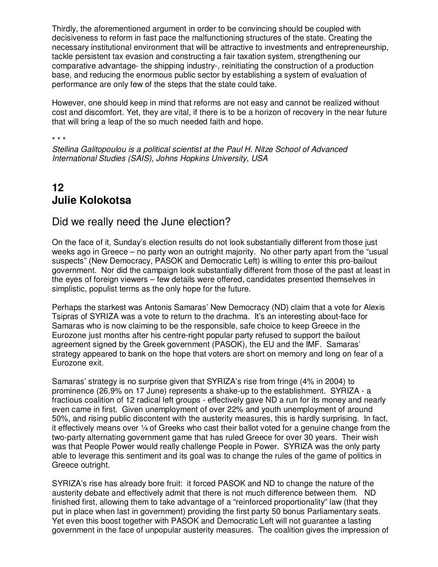Thirdly, the aforementioned argument in order to be convincing should be coupled with decisiveness to reform in fast pace the malfunctioning structures of the state. Creating the necessary institutional environment that will be attractive to investments and entrepreneurship, tackle persistent tax evasion and constructing a fair taxation system, strengthening our comparative advantage- the shipping industry-, reinitiating the construction of a production base, and reducing the enormous public sector by establishing a system of evaluation of performance are only few of the steps that the state could take.

However, one should keep in mind that reforms are not easy and cannot be realized without cost and discomfort. Yet, they are vital, if there is to be a horizon of recovery in the near future that will bring a leap of the so much needed faith and hope.

#### \* \* \*

*Stellina Galitopoulou is a political scientist at the Paul H. Nitze School of Advanced International Studies (SAIS), Johns Hopkins University, USA*

# **12 Julie Kolokotsa**

#### Did we really need the June election?

On the face of it, Sunday's election results do not look substantially different from those just weeks ago in Greece – no party won an outright majority. No other party apart from the "usual suspects" (New Democracy, PASOK and Democratic Left) is willing to enter this pro-bailout government. Nor did the campaign look substantially different from those of the past at least in the eyes of foreign viewers – few details were offered, candidates presented themselves in simplistic, populist terms as the only hope for the future.

Perhaps the starkest was Antonis Samaras' New Democracy (ND) claim that a vote for Alexis Tsipras of SYRIZA was a vote to return to the drachma. It's an interesting about-face for Samaras who is now claiming to be the responsible, safe choice to keep Greece in the Eurozone just months after his centre-right popular party refused to support the bailout agreement signed by the Greek government (PASOK), the EU and the IMF. Samaras' strategy appeared to bank on the hope that voters are short on memory and long on fear of a Eurozone exit.

Samaras' strategy is no surprise given that SYRIZA's rise from fringe (4% in 2004) to prominence (26.9% on 17 June) represents a shake-up to the establishment. SYRIZA - a fractious coalition of 12 radical left groups - effectively gave ND a run for its money and nearly even came in first. Given unemployment of over 22% and youth unemployment of around 50%, and rising public discontent with the austerity measures, this is hardly surprising. In fact, it effectively means over  $\frac{1}{4}$  of Greeks who cast their ballot voted for a genuine change from the two-party alternating government game that has ruled Greece for over 30 years. Their wish was that People Power would really challenge People in Power. SYRIZA was the only party able to leverage this sentiment and its goal was to change the rules of the game of politics in Greece outright.

SYRIZA's rise has already bore fruit: it forced PASOK and ND to change the nature of the austerity debate and effectively admit that there is not much difference between them. ND finished first, allowing them to take advantage of a "reinforced proportionality" law (that they put in place when last in government) providing the first party 50 bonus Parliamentary seats. Yet even this boost together with PASOK and Democratic Left will not guarantee a lasting government in the face of unpopular austerity measures. The coalition gives the impression of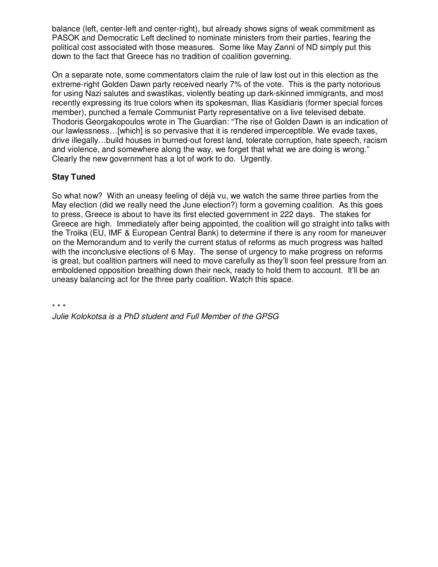balance (left, center-left and center-right), but already shows signs of weak commitment as PASOK and Democratic Left declined to nominate ministers from their parties, fearing the political cost associated with those measures. Some like May Zanni of ND simply put this down to the fact that Greece has no tradition of coalition governing.

On a separate note, some commentators claim the rule of law lost out in this election as the extreme-right Golden Dawn party received nearly 7% of the vote. This is the party notorious for using Nazi salutes and swastikas, violently beating up dark-skinned immigrants, and most recently expressing its true colors when its spokesman, Ilias Kasidiaris (former special forces member), punched a female Communist Party representative on a live televised debate. Thodoris Georgakopoulos wrote in The Guardian: "The rise of Golden Dawn is an indication of our lawlessness…[which] is so pervasive that it is rendered imperceptible. We evade taxes, drive illegally…build houses in burned-out forest land, tolerate corruption, hate speech, racism and violence, and somewhere along the way, we forget that what we are doing is wrong." Clearly the new government has a lot of work to do. Urgently.

#### **Stay Tuned**

So what now? With an uneasy feeling of déjà vu, we watch the same three parties from the May election (did we really need the June election?) form a governing coalition. As this goes to press, Greece is about to have its first elected government in 222 days. The stakes for Greece are high. Immediately after being appointed, the coalition will go straight into talks with the Troika (EU, IMF & European Central Bank) to determine if there is any room for maneuver on the Memorandum and to verify the current status of reforms as much progress was halted with the inconclusive elections of 6 May. The sense of urgency to make progress on reforms is great, but coalition partners will need to move carefully as they'll soon feel pressure from an emboldened opposition breathing down their neck, ready to hold them to account. It'll be an uneasy balancing act for the three party coalition. Watch this space.

\* \* \*

*Julie Kolokotsa is a PhD student and Full Member of the GPSG*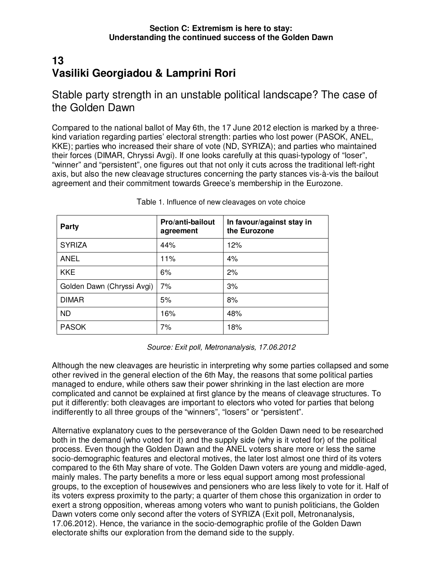# **13 Vasiliki Georgiadou & Lamprini Rori**

Stable party strength in an unstable political landscape? The case of the Golden Dawn

Compared to the national ballot of May 6th, the 17 June 2012 election is marked by a threekind variation regarding parties' electoral strength: parties who lost power (PASOK, ANEL, KKE); parties who increased their share of vote (ND, SYRIZA); and parties who maintained their forces (DIMAR, Chryssi Avgi). If one looks carefully at this quasi-typology of "loser", "winner" and "persistent", one figures out that not only it cuts across the traditional left-right axis, but also the new cleavage structures concerning the party stances vis-à-vis the bailout agreement and their commitment towards Greece's membership in the Eurozone.

| <b>Party</b>               | Pro/anti-bailout<br>agreement | In favour/against stay in<br>the Eurozone |
|----------------------------|-------------------------------|-------------------------------------------|
| <b>SYRIZA</b>              | 44%                           | 12%                                       |
| <b>ANEL</b>                | 11%                           | 4%                                        |
| <b>KKE</b>                 | 6%                            | 2%                                        |
| Golden Dawn (Chryssi Avgi) | 7%                            | 3%                                        |
| <b>DIMAR</b>               | 5%                            | 8%                                        |
| <b>ND</b>                  | 16%                           | 48%                                       |
| <b>PASOK</b>               | 7%                            | 18%                                       |

Table 1. Influence of new cleavages on vote choice

*Source: Exit poll, Metronanalysis, 17.06.2012* 

Although the new cleavages are heuristic in interpreting why some parties collapsed and some other revived in the general election of the 6th May, the reasons that some political parties managed to endure, while others saw their power shrinking in the last election are more complicated and cannot be explained at first glance by the means of cleavage structures. To put it differently: both cleavages are important to electors who voted for parties that belong indifferently to all three groups of the "winners", "losers" or "persistent".

Alternative explanatory cues to the perseverance of the Golden Dawn need to be researched both in the demand (who voted for it) and the supply side (why is it voted for) of the political process. Even though the Golden Dawn and the ANEL voters share more or less the same socio-demographic features and electoral motives, the later lost almost one third of its voters compared to the 6th May share of vote. The Golden Dawn voters are young and middle-aged, mainly males. The party benefits a more or less equal support among most professional groups, to the exception of housewives and pensioners who are less likely to vote for it. Half of its voters express proximity to the party; a quarter of them chose this organization in order to exert a strong opposition, whereas among voters who want to punish politicians, the Golden Dawn voters come only second after the voters of SYRIZA (Exit poll, Metronanalysis, 17.06.2012). Hence, the variance in the socio-demographic profile of the Golden Dawn electorate shifts our exploration from the demand side to the supply.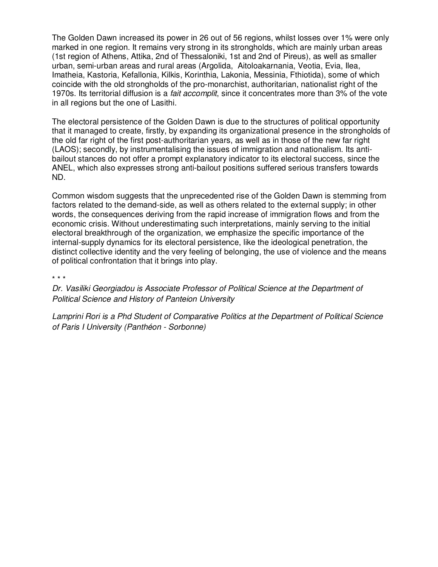The Golden Dawn increased its power in 26 out of 56 regions, whilst losses over 1% were only marked in one region. It remains very strong in its strongholds, which are mainly urban areas (1st region of Athens, Attika, 2nd of Thessaloniki, 1st and 2nd of Pireus), as well as smaller urban, semi-urban areas and rural areas (Argolida, Aitoloakarnania, Veotia, Evia, Ilea, Imatheia, Kastoria, Kefallonia, Kilkis, Korinthia, Lakonia, Messinia, Fthiotida), some of which coincide with the old strongholds of the pro-monarchist, authoritarian, nationalist right of the 1970s. Its territorial diffusion is a *fait accomplit*, since it concentrates more than 3% of the vote in all regions but the one of Lasithi.

The electoral persistence of the Golden Dawn is due to the structures of political opportunity that it managed to create, firstly, by expanding its organizational presence in the strongholds of the old far right of the first post-authoritarian years, as well as in those of the new far right (LAOS); secondly, by instrumentalising the issues of immigration and nationalism. Its antibailout stances do not offer a prompt explanatory indicator to its electoral success, since the ANEL, which also expresses strong anti-bailout positions suffered serious transfers towards ND.

Common wisdom suggests that the unprecedented rise of the Golden Dawn is stemming from factors related to the demand-side, as well as others related to the external supply; in other words, the consequences deriving from the rapid increase of immigration flows and from the economic crisis. Without underestimating such interpretations, mainly serving to the initial electoral breakthrough of the organization, we emphasize the specific importance of the internal-supply dynamics for its electoral persistence, like the ideological penetration, the distinct collective identity and the very feeling of belonging, the use of violence and the means of political confrontation that it brings into play.

\* \* \*

*Dr. Vasiliki Georgiadou is Associate Professor of Political Science at the Department of Political Science and History of Panteion University* 

*Lamprini Rori is a Phd Student of Comparative Politics at the Department of Political Science of Paris I University (Panthéon - Sorbonne)*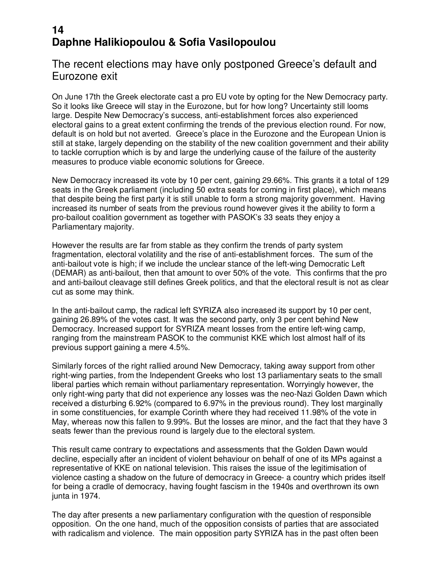# **14 Daphne Halikiopoulou & Sofia Vasilopoulou**

#### The recent elections may have only postponed Greece's default and Eurozone exit

On June 17th the Greek electorate cast a pro EU vote by opting for the New Democracy party. So it looks like Greece will stay in the Eurozone, but for how long? Uncertainty still looms large. Despite New Democracy's success, anti-establishment forces also experienced electoral gains to a great extent confirming the trends of the previous election round. For now, default is on hold but not averted. Greece's place in the Eurozone and the European Union is still at stake, largely depending on the stability of the new coalition government and their ability to tackle corruption which is by and large the underlying cause of the failure of the austerity measures to produce viable economic solutions for Greece.

New Democracy increased its vote by 10 per cent, gaining 29.66%. This grants it a total of 129 seats in the Greek parliament (including 50 extra seats for coming in first place), which means that despite being the first party it is still unable to form a strong majority government. Having increased its number of seats from the previous round however gives it the ability to form a pro-bailout coalition government as together with PASOK's 33 seats they enjoy a Parliamentary majority.

However the results are far from stable as they confirm the trends of party system fragmentation, electoral volatility and the rise of anti-establishment forces. The sum of the anti-bailout vote is high; if we include the unclear stance of the left-wing Democratic Left (DEMAR) as anti-bailout, then that amount to over 50% of the vote. This confirms that the pro and anti-bailout cleavage still defines Greek politics, and that the electoral result is not as clear cut as some may think.

In the anti-bailout camp, the radical left SYRIZA also increased its support by 10 per cent, gaining 26.89% of the votes cast. It was the second party, only 3 per cent behind New Democracy. Increased support for SYRIZA meant losses from the entire left-wing camp, ranging from the mainstream PASOK to the communist KKE which lost almost half of its previous support gaining a mere 4.5%.

Similarly forces of the right rallied around New Democracy, taking away support from other right-wing parties, from the Independent Greeks who lost 13 parliamentary seats to the small liberal parties which remain without parliamentary representation. Worryingly however, the only right-wing party that did not experience any losses was the neo-Nazi Golden Dawn which received a disturbing 6.92% (compared to 6.97% in the previous round). They lost marginally in some constituencies, for example Corinth where they had received 11.98% of the vote in May, whereas now this fallen to 9.99%. But the losses are minor, and the fact that they have 3 seats fewer than the previous round is largely due to the electoral system.

This result came contrary to expectations and assessments that the Golden Dawn would decline, especially after an incident of violent behaviour on behalf of one of its MPs against a representative of KKE on national television. This raises the issue of the legitimisation of violence casting a shadow on the future of democracy in Greece- a country which prides itself for being a cradle of democracy, having fought fascism in the 1940s and overthrown its own junta in 1974.

The day after presents a new parliamentary configuration with the question of responsible opposition. On the one hand, much of the opposition consists of parties that are associated with radicalism and violence. The main opposition party SYRIZA has in the past often been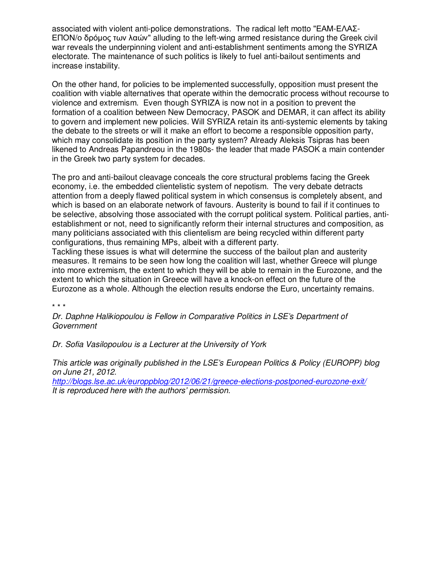associated with violent anti-police demonstrations. The radical left motto "ΕΑΜ-ΕΛΑΣ-ΕΠΟΝ/ο δρόµος των λαών" alluding to the left-wing armed resistance during the Greek civil war reveals the underpinning violent and anti-establishment sentiments among the SYRIZA electorate. The maintenance of such politics is likely to fuel anti-bailout sentiments and increase instability.

On the other hand, for policies to be implemented successfully, opposition must present the coalition with viable alternatives that operate within the democratic process without recourse to violence and extremism. Even though SYRIZA is now not in a position to prevent the formation of a coalition between New Democracy, PASOK and DEMAR, it can affect its ability to govern and implement new policies. Will SYRIZA retain its anti-systemic elements by taking the debate to the streets or will it make an effort to become a responsible opposition party, which may consolidate its position in the party system? Already Aleksis Tsipras has been likened to Andreas Papandreou in the 1980s- the leader that made PASOK a main contender in the Greek two party system for decades.

The pro and anti-bailout cleavage conceals the core structural problems facing the Greek economy, i.e. the embedded clientelistic system of nepotism. The very debate detracts attention from a deeply flawed political system in which consensus is completely absent, and which is based on an elaborate network of favours. Austerity is bound to fail if it continues to be selective, absolving those associated with the corrupt political system. Political parties, antiestablishment or not, need to significantly reform their internal structures and composition, as many politicians associated with this clientelism are being recycled within different party configurations, thus remaining MPs, albeit with a different party.

Tackling these issues is what will determine the success of the bailout plan and austerity measures. It remains to be seen how long the coalition will last, whether Greece will plunge into more extremism, the extent to which they will be able to remain in the Eurozone, and the extent to which the situation in Greece will have a knock-on effect on the future of the Eurozone as a whole. Although the election results endorse the Euro, uncertainty remains.

\* \* \*

*Dr. Daphne Halikiopoulou is Fellow in Comparative Politics in LSE's Department of Government* 

*Dr. Sofia Vasilopoulou is a Lecturer at the University of York* 

*This article was originally published in the LSE's European Politics & Policy (EUROPP) blog on June 21, 2012.* 

*http://blogs.lse.ac.uk/europpblog/2012/06/21/greece-elections-postponed-eurozone-exit/ It is reproduced here with the authors' permission.*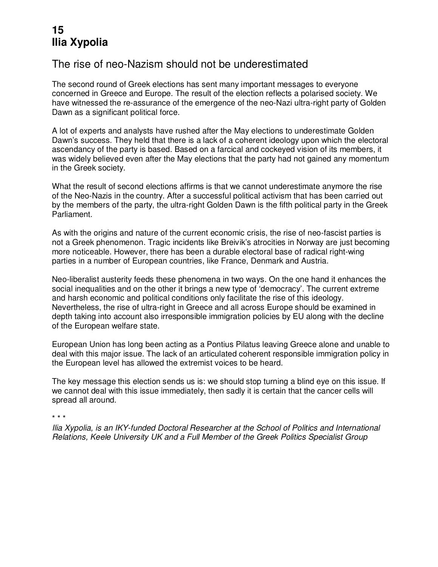# **15 Ilia Xypolia**

#### The rise of neo-Nazism should not be underestimated

The second round of Greek elections has sent many important messages to everyone concerned in Greece and Europe. The result of the election reflects a polarised society. We have witnessed the re-assurance of the emergence of the neo-Nazi ultra-right party of Golden Dawn as a significant political force.

A lot of experts and analysts have rushed after the May elections to underestimate Golden Dawn's success. They held that there is a lack of a coherent ideology upon which the electoral ascendancy of the party is based. Based on a farcical and cockeyed vision of its members, it was widely believed even after the May elections that the party had not gained any momentum in the Greek society.

What the result of second elections affirms is that we cannot underestimate anymore the rise of the Neo-Nazis in the country. After a successful political activism that has been carried out by the members of the party, the ultra-right Golden Dawn is the fifth political party in the Greek Parliament.

As with the origins and nature of the current economic crisis, the rise of neo-fascist parties is not a Greek phenomenon. Tragic incidents like Breivik's atrocities in Norway are just becoming more noticeable. However, there has been a durable electoral base of radical right-wing parties in a number of European countries, like France, Denmark and Austria.

Neo-liberalist austerity feeds these phenomena in two ways. On the one hand it enhances the social inequalities and on the other it brings a new type of 'democracy'. The current extreme and harsh economic and political conditions only facilitate the rise of this ideology. Nevertheless, the rise of ultra-right in Greece and all across Europe should be examined in depth taking into account also irresponsible immigration policies by EU along with the decline of the European welfare state.

European Union has long been acting as a Pontius Pilatus leaving Greece alone and unable to deal with this major issue. The lack of an articulated coherent responsible immigration policy in the European level has allowed the extremist voices to be heard.

The key message this election sends us is: we should stop turning a blind eye on this issue. If we cannot deal with this issue immediately, then sadly it is certain that the cancer cells will spread all around.

\* \* \*

*Ilia Xypolia, is an IKY-funded Doctoral Researcher at the School of Politics and International Relations, Keele University UK and a Full Member of the Greek Politics Specialist Group*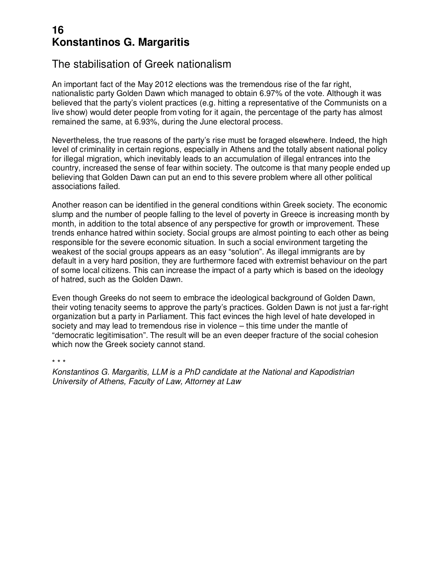### **16 Konstantinos G. Margaritis**

#### The stabilisation of Greek nationalism

An important fact of the May 2012 elections was the tremendous rise of the far right, nationalistic party Golden Dawn which managed to obtain 6.97% of the vote. Although it was believed that the party's violent practices (e.g. hitting a representative of the Communists on a live show) would deter people from voting for it again, the percentage of the party has almost remained the same, at 6.93%, during the June electoral process.

Nevertheless, the true reasons of the party's rise must be foraged elsewhere. Indeed, the high level of criminality in certain regions, especially in Athens and the totally absent national policy for illegal migration, which inevitably leads to an accumulation of illegal entrances into the country, increased the sense of fear within society. The outcome is that many people ended up believing that Golden Dawn can put an end to this severe problem where all other political associations failed.

Another reason can be identified in the general conditions within Greek society. The economic slump and the number of people falling to the level of poverty in Greece is increasing month by month, in addition to the total absence of any perspective for growth or improvement. These trends enhance hatred within society. Social groups are almost pointing to each other as being responsible for the severe economic situation. In such a social environment targeting the weakest of the social groups appears as an easy "solution". As illegal immigrants are by default in a very hard position, they are furthermore faced with extremist behaviour on the part of some local citizens. This can increase the impact of a party which is based on the ideology of hatred, such as the Golden Dawn.

Even though Greeks do not seem to embrace the ideological background of Golden Dawn, their voting tenacity seems to approve the party's practices. Golden Dawn is not just a far-right organization but a party in Parliament. This fact evinces the high level of hate developed in society and may lead to tremendous rise in violence – this time under the mantle of "democratic legitimisation". The result will be an even deeper fracture of the social cohesion which now the Greek society cannot stand.

\* \* \*

*Konstantinos G. Margaritis, LLM is a PhD candidate at the National and Kapodistrian University of Athens, Faculty of Law, Attorney at Law*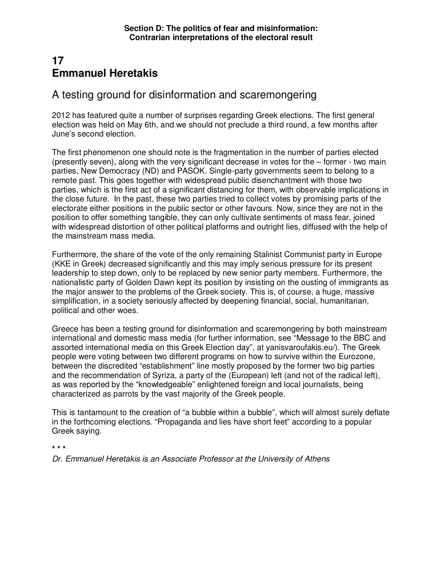# **17 Emmanuel Heretakis**

#### A testing ground for disinformation and scaremongering

2012 has featured quite a number of surprises regarding Greek elections. The first general election was held on May 6th, and we should not preclude a third round, a few months after June's second election.

The first phenomenon one should note is the fragmentation in the number of parties elected (presently seven), along with the very significant decrease in votes for the – former - two main parties, New Democracy (ND) and PASOK. Single-party governments seem to belong to a remote past. This goes together with widespread public disenchantment with those two parties, which is the first act of a significant distancing for them, with observable implications in the close future. In the past, these two parties tried to collect votes by promising parts of the electorate either positions in the public sector or other favours. Now, since they are not in the position to offer something tangible, they can only cultivate sentiments of mass fear, joined with widespread distortion of other political platforms and outright lies, diffused with the help of the mainstream mass media.

Furthermore, the share of the vote of the only remaining Stalinist Communist party in Europe (KKE in Greek) decreased significantly and this may imply serious pressure for its present leadership to step down, only to be replaced by new senior party members. Furthermore, the nationalistic party of Golden Dawn kept its position by insisting on the ousting of immigrants as the major answer to the problems of the Greek society. This is, of course, a huge, massive simplification, in a society seriously affected by deepening financial, social, humanitarian, political and other woes.

Greece has been a testing ground for disinformation and scaremongering by both mainstream international and domestic mass media (for further information, see "Message to the BBC and assorted international media on this Greek Election day", at yanisvaroufakis.eu/). The Greek people were voting between two different programs on how to survive within the Eurozone, between the discredited "establishment" line mostly proposed by the former two big parties and the recommendation of Syriza, a party of the (European) left (and not of the radical left), as was reported by the "knowledgeable" enlightened foreign and local journalists, being characterized as parrots by the vast majority of the Greek people.

This is tantamount to the creation of "a bubble within a bubble", which will almost surely deflate in the forthcoming elections. "Propaganda and lies have short feet" according to a popular Greek saying.

**\* \* \*** 

*Dr. Emmanuel Heretakis is an Associate Professor at the University of Athens*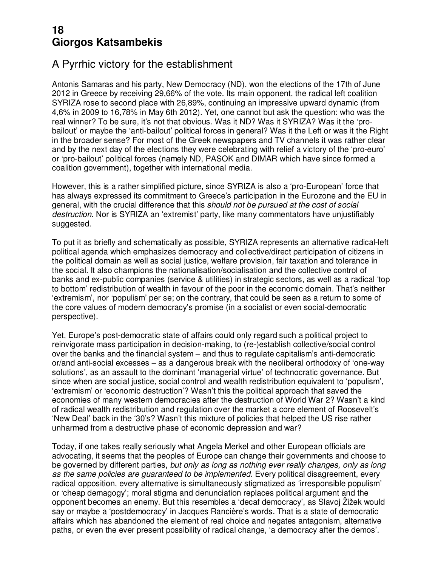### **18 Giorgos Katsambekis**

### A Pyrrhic victory for the establishment

Antonis Samaras and his party, New Democracy (ND), won the elections of the 17th of June 2012 in Greece by receiving 29,66% of the vote. Its main opponent, the radical left coalition SYRIZA rose to second place with 26,89%, continuing an impressive upward dynamic (from 4,6% in 2009 to 16,78% in May 6th 2012). Yet, one cannot but ask the question: who was the real winner? To be sure, it's not that obvious. Was it ND? Was it SYRIZA? Was it the 'probailout' or maybe the 'anti-bailout' political forces in general? Was it the Left or was it the Right in the broader sense? For most of the Greek newspapers and TV channels it was rather clear and by the next day of the elections they were celebrating with relief a victory of the 'pro-euro' or 'pro-bailout' political forces (namely ND, PASOK and DIMAR which have since formed a coalition government), together with international media.

However, this is a rather simplified picture, since SYRIZA is also a 'pro-European' force that has always expressed its commitment to Greece's participation in the Eurozone and the EU in general, with the crucial difference that this *should not be pursued at the cost of social destruction*. Nor is SYRIZA an 'extremist' party, like many commentators have unjustifiably suggested.

To put it as briefly and schematically as possible, SYRIZA represents an alternative radical-left political agenda which emphasizes democracy and collective/direct participation of citizens in the political domain as well as social justice, welfare provision, fair taxation and tolerance in the social. It also champions the nationalisation/socialisation and the collective control of banks and ex-public companies (service & utilities) in strategic sectors, as well as a radical 'top to bottom' redistribution of wealth in favour of the poor in the economic domain. That's neither 'extremism', nor 'populism' per se; on the contrary, that could be seen as a return to some of the core values of modern democracy's promise (in a socialist or even social-democratic perspective).

Yet, Europe's post-democratic state of affairs could only regard such a political project to reinvigorate mass participation in decision-making, to (re-)establish collective/social control over the banks and the financial system – and thus to regulate capitalism's anti-democratic or/and anti-social excesses – as a dangerous break with the neoliberal orthodoxy of 'one-way solutions', as an assault to the dominant 'managerial virtue' of technocratic governance. But since when are social justice, social control and wealth redistribution equivalent to 'populism', 'extremism' or 'economic destruction'? Wasn't this the political approach that saved the economies of many western democracies after the destruction of World War 2? Wasn't a kind of radical wealth redistribution and regulation over the market a core element of Roosevelt's 'New Deal' back in the '30's? Wasn't this mixture of policies that helped the US rise rather unharmed from a destructive phase of economic depression and war?

Today, if one takes really seriously what Angela Merkel and other European officials are advocating, it seems that the peoples of Europe can change their governments and choose to be governed by different parties, *but only as long as nothing ever really changes, only as long as the same policies are guaranteed to be implemented*. Every political disagreement, every radical opposition, every alternative is simultaneously stigmatized as 'irresponsible populism' or 'cheap demagogy'; moral stigma and denunciation replaces political argument and the opponent becomes an enemy. But this resembles a 'decaf democracy', as Slavoj Žižek would say or maybe a 'postdemocracy' in Jacques Rancière's words. That is a state of democratic affairs which has abandoned the element of real choice and negates antagonism, alternative paths, or even the ever present possibility of radical change, 'a democracy after the demos'.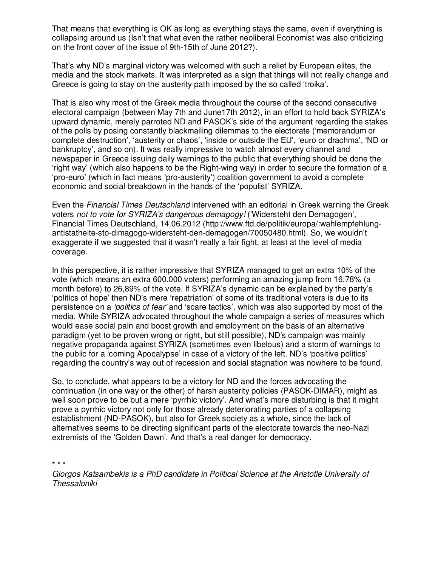That means that everything is OK as long as everything stays the same, even if everything is collapsing around us (Isn't that what even the rather neoliberal Economist was also criticizing on the front cover of the issue of 9th-15th of June 2012?).

That's why ND's marginal victory was welcomed with such a relief by European elites, the media and the stock markets. It was interpreted as a sign that things will not really change and Greece is going to stay on the austerity path imposed by the so called 'troika'.

That is also why most of the Greek media throughout the course of the second consecutive electoral campaign (between May 7th and June17th 2012), in an effort to hold back SYRIZA's upward dynamic, merely parroted ND and PASOK's side of the argument regarding the stakes of the polls by posing constantly blackmailing dilemmas to the electorate ('memorandum or complete destruction', 'austerity or chaos', 'inside or outside the EU', 'euro or drachma', 'ND or bankruptcy', and so on). It was really impressive to watch almost every channel and newspaper in Greece issuing daily warnings to the public that everything should be done the 'right way' (which also happens to be the Right-wing way) in order to secure the formation of a 'pro-euro' (which in fact means 'pro-austerity') coalition government to avoid a complete economic and social breakdown in the hands of the 'populist' SYRIZA.

Even the *Financial Times Deutschland* intervened with an editorial in Greek warning the Greek voters *not to vote for SYRIZA's dangerous demagogy!* ('Widersteht den Demagogen', Financial Times Deutschland, 14.06.2012 (http://www.ftd.de/politik/europa/:wahlempfehlungantistatheite-sto-dimagogo-widersteht-den-demagogen/70050480.html). So, we wouldn't exaggerate if we suggested that it wasn't really a fair fight, at least at the level of media coverage.

In this perspective, it is rather impressive that SYRIZA managed to get an extra 10% of the vote (which means an extra 600.000 voters) performing an amazing jump from 16,78% (a month before) to 26,89% of the vote. If SYRIZA's dynamic can be explained by the party's 'politics of hope' then ND's mere 'repatriation' of some of its traditional voters is due to its persistence on a *'politics of fear'* and 'scare tactics', which was also supported by most of the media. While SYRIZA advocated throughout the whole campaign a series of measures which would ease social pain and boost growth and employment on the basis of an alternative paradigm (yet to be proven wrong or right, but still possible), ND's campaign was mainly negative propaganda against SYRIZA (sometimes even libelous) and a storm of warnings to the public for a 'coming Apocalypse' in case of a victory of the left. ND's 'positive politics' regarding the country's way out of recession and social stagnation was nowhere to be found.

So, to conclude, what appears to be a victory for ND and the forces advocating the continuation (in one way or the other) of harsh austerity policies (PASOK-DIMAR), might as well soon prove to be but a mere 'pyrrhic victory'. And what's more disturbing is that it might prove a pyrrhic victory not only for those already deteriorating parties of a collapsing establishment (ND-PASOK), but also for Greek society as a whole, since the lack of alternatives seems to be directing significant parts of the electorate towards the neo-Nazi extremists of the 'Golden Dawn'. And that's a real danger for democracy.

\* \* \*

*Giorgos Katsambekis is a PhD candidate in Political Science at the Aristotle University of Thessaloniki*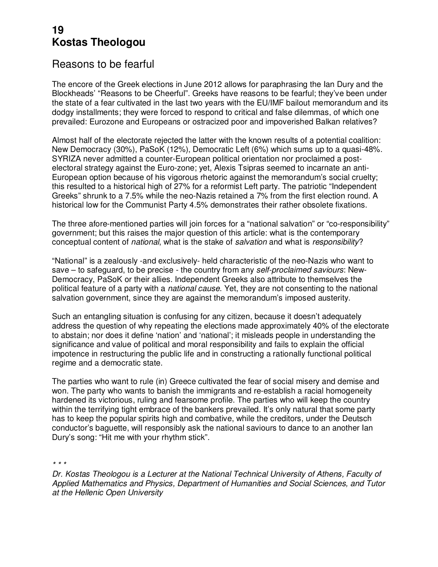#### **19 Kostas Theologou**

#### Reasons to be fearful

The encore of the Greek elections in June 2012 allows for paraphrasing the Ian Dury and the Blockheads' "Reasons to be Cheerful". Greeks have reasons to be fearful; they've been under the state of a fear cultivated in the last two years with the EU/IMF bailout memorandum and its dodgy installments; they were forced to respond to critical and false dilemmas, of which one prevailed: Eurozone and Europeans or ostracized poor and impoverished Balkan relatives?

Almost half of the electorate rejected the latter with the known results of a potential coalition: New Democracy (30%), PaSoK (12%), Democratic Left (6%) which sums up to a quasi-48%. SYRIZA never admitted a counter-European political orientation nor proclaimed a postelectoral strategy against the Euro-zone; yet, Alexis Tsipras seemed to incarnate an anti-European option because of his vigorous rhetoric against the memorandum's social cruelty; this resulted to a historical high of 27% for a reformist Left party. The patriotic "Independent Greeks" shrunk to a 7.5% while the neo-Nazis retained a 7% from the first election round. A historical low for the Communist Party 4.5% demonstrates their rather obsolete fixations.

The three afore-mentioned parties will join forces for a "national salvation" or "co-responsibility" government; but this raises the major question of this article: what is the contemporary conceptual content of *national*, what is the stake of *salvation* and what is *responsibility*?

"National" is a zealously -and exclusively- held characteristic of the neo-Nazis who want to save – to safeguard, to be precise - the country from any *self-proclaimed saviours*: New-Democracy, PaSoK or their allies. Independent Greeks also attribute to themselves the political feature of a party with a *national cause*. Yet, they are not consenting to the national salvation government, since they are against the memorandum's imposed austerity.

Such an entangling situation is confusing for any citizen, because it doesn't adequately address the question of why repeating the elections made approximately 40% of the electorate to abstain; nor does it define 'nation' and 'national'; it misleads people in understanding the significance and value of political and moral responsibility and fails to explain the official impotence in restructuring the public life and in constructing a rationally functional political regime and a democratic state.

The parties who want to rule (in) Greece cultivated the fear of social misery and demise and won. The party who wants to banish the immigrants and re-establish a racial homogeneity hardened its victorious, ruling and fearsome profile. The parties who will keep the country within the terrifying tight embrace of the bankers prevailed. It's only natural that some party has to keep the popular spirits high and combative, while the creditors, under the Deutsch conductor's baguette, will responsibly ask the national saviours to dance to an another Ian Dury's song: "Hit me with your rhythm stick".

*\* \* \** 

*Dr. Kostas Theologou is a Lecturer at the National Technical University of Athens, Faculty of Applied Mathematics and Physics, Department of Humanities and Social Sciences, and Tutor at the Hellenic Open University*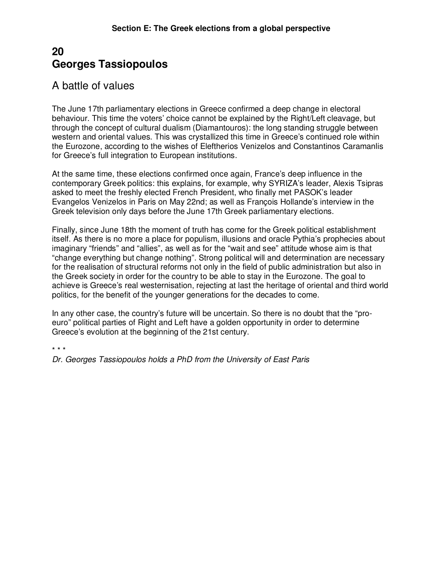#### **20 Georges Tassiopoulos**

### A battle of values

The June 17th parliamentary elections in Greece confirmed a deep change in electoral behaviour. This time the voters' choice cannot be explained by the Right/Left cleavage, but through the concept of cultural dualism (Diamantouros): the long standing struggle between western and oriental values. This was crystallized this time in Greece's continued role within the Eurozone, according to the wishes of Eleftherios Venizelos and Constantinos Caramanlis for Greece's full integration to European institutions.

At the same time, these elections confirmed once again, France's deep influence in the contemporary Greek politics: this explains, for example, why SYRIZA's leader, Alexis Tsipras asked to meet the freshly elected French President, who finally met PASOK's leader Evangelos Venizelos in Paris on May 22nd; as well as François Hollande's interview in the Greek television only days before the June 17th Greek parliamentary elections.

Finally, since June 18th the moment of truth has come for the Greek political establishment itself. As there is no more a place for populism, illusions and oracle Pythia's prophecies about imaginary "friends" and "allies", as well as for the "wait and see" attitude whose aim is that "change everything but change nothing". Strong political will and determination are necessary for the realisation of structural reforms not only in the field of public administration but also in the Greek society in order for the country to be able to stay in the Eurozone. The goal to achieve is Greece's real westernisation, rejecting at last the heritage of oriental and third world politics, for the benefit of the younger generations for the decades to come.

In any other case, the country's future will be uncertain. So there is no doubt that the "proeuro" political parties of Right and Left have a golden opportunity in order to determine Greece's evolution at the beginning of the 21st century.

\* \* \*

*Dr. Georges Tassiopoulos holds a PhD from the University of East Paris*